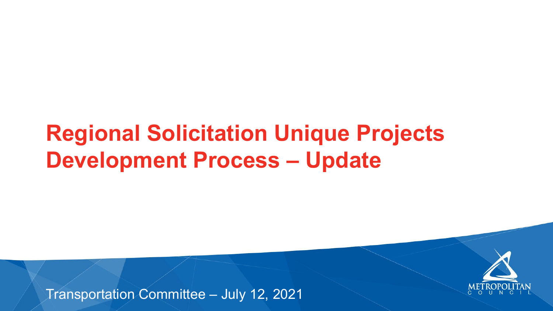## **Regional Solicitation Unique Projects Development Process – Update**

Transportation Committee – July 12, 2021



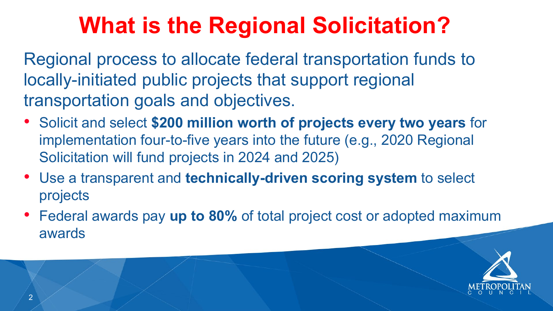



Regional process to allocate federal transportation funds to locally-initiated public projects that support regional transportation goals and objectives.

- Solicit and select **\$200 million worth of projects every two years** for implementation four-to-five years into the future (e.g., 2020 Regional Solicitation will fund projects in 2024 and 2025)
- Use a transparent and **technically-driven scoring system** to select projects
- Federal awards pay **up to 80%** of total project cost or adopted maximum awards

# **What is the Regional Solicitation?**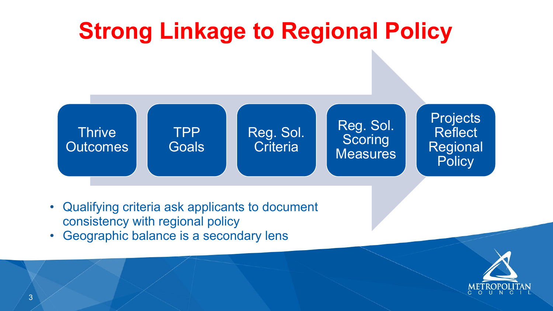

# **Strong Linkage to Regional Policy**

## Reg. Sol. **Criteria**

## Reg. Sol. **Scoring Measures**



## Projects **Reflect** Regional **Policy**



- Qualifying criteria ask applicants to document consistency with regional policy
- Geographic balance is a secondary lens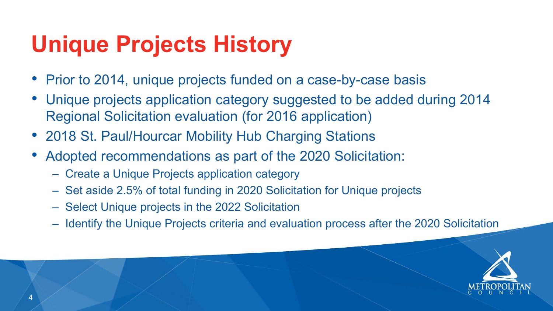



- Prior to 2014, unique projects funded on a case-by-case basis
- Unique projects application category suggested to be added during 2014 Regional Solicitation evaluation (for 2016 application)
- 2018 St. Paul/Hourcar Mobility Hub Charging Stations
- Adopted recommendations as part of the 2020 Solicitation:
	- Create a Unique Projects application category
	- Set aside 2.5% of total funding in 2020 Solicitation for Unique projects
	- Select Unique projects in the 2022 Solicitation
	- Identify the Unique Projects criteria and evaluation process after the 2020 Solicitation

# **Unique Projects History**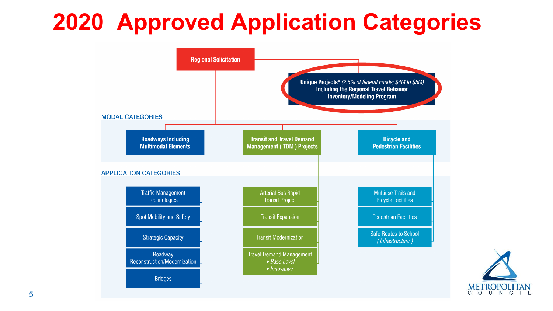Unique Projects\* (2.5% of federal Funds; \$4M to \$5M) **Including the Regional Travel Behavior Inventory/Modeling Program** 

**Transit and Travel Demand Management (TDM) Projects Arterial Bus Rapid Transit Project Transit Expansion Transit Modernization Travel Demand Management** • Base Level

· Innovative

**Bicycle and Pedestrian Facilities** 

**Multiuse Trails and Bicycle Facilities** 

**Pedestrian Facilities** 

**Safe Routes to School** (Infrastructure)



## **2020 Approved Application Categories**

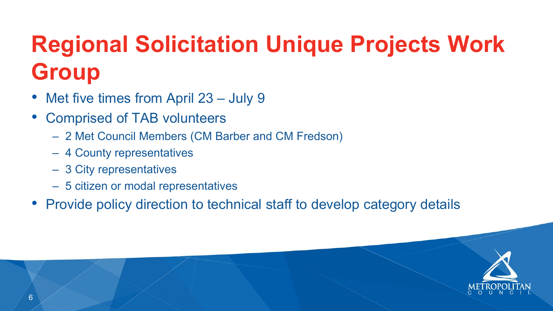

# **Regional Solicitation Unique Projects Work Group**

- Met five times from April 23 July 9
- Comprised of TAB volunteers
	- 2 Met Council Members (CM Barber and CM Fredson)
	- 4 County representatives
	- 3 City representatives
	- 5 citizen or modal representatives
- Provide policy direction to technical staff to develop category details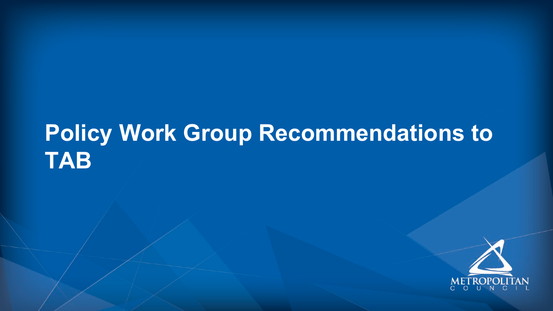## **Policy Work Group Recommendations to TAB**





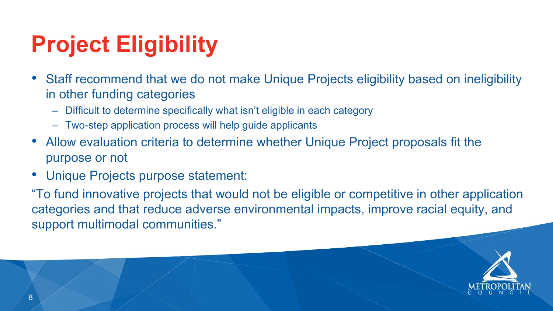## • Staff recommend that we do not make Unique Projects eligibility based on ineligibility

- in other funding categories
	- Difficult to determine specifically what isn't eligible in each category
	- Two-step application process will help guide applicants
- Allow evaluation criteria to determine whether Unique Project proposals fit the purpose or not
- Unique Projects purpose statement:

"To fund innovative projects that would not be eligible or competitive in other application categories and that reduce adverse environmental impacts, improve racial equity, and





support multimodal communities."

# **Project Eligibility**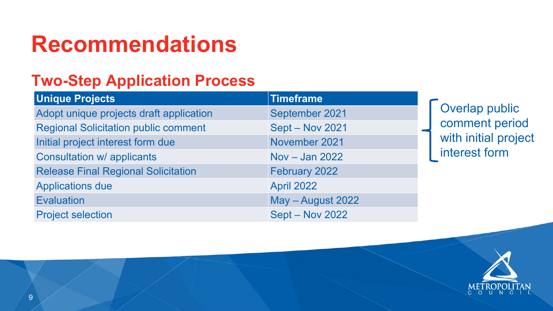

## **Two-Step Application Process**

## **Recommendations**

## **Unique Projects Timeframe**

Adopt unique projects draft application September 2021 Regional Solicitation public comment Sept – Nov 2021 Initial project interest form due November 2021 Consultation w/ applicants Nov – Jan 2022 Release Final Regional Solicitation February 2022 Applications due April 2022 Evaluation May – August 2022 Project selection Sept – Nov 2022

Overlap public comment period with initial project interest form



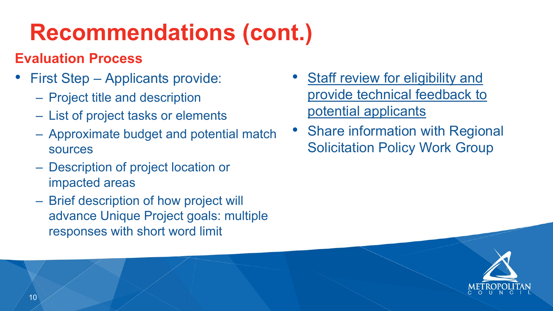# **Recommendations (cont.)**

## **Evaluation Process**

- First Step Applicants provide:
	- Project title and description
	- List of project tasks or elements
	- Approximate budget and potential match sources • Share information with Regional Solicitation Policy Work Group
	- Description of project location or impacted areas
	- Brief description of how project will advance Unique Project goals: multiple responses with short word limit

• Staff review for eligibility and provide technical feedback to potential applicants

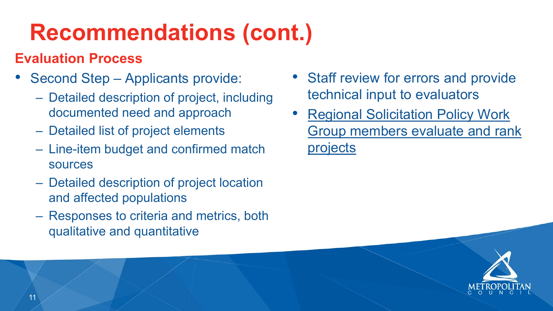# **Recommendations (cont.)**

## **Evaluation Process**

- Second Step Applicants provide:
	- Detailed description of project, including documented need and approach
	- Detailed list of project elements
	- Line-item budget and confirmed match sources
	- Detailed description of project location and affected populations
	- Responses to criteria and metrics, both qualitative and quantitative
- Staff review for errors and provide technical input to evaluators
- Regional Solicitation Policy Work Group members evaluate and rank projects



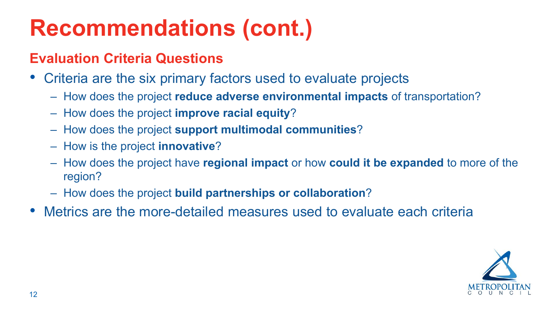



## **Recommendations (cont.)**

## **Evaluation Criteria Questions**

- Criteria are the six primary factors used to evaluate projects
	- How does the project **reduce adverse environmental impacts** of transportation?
	- How does the project **improve racial equity**?
	- How does the project **support multimodal communities**?
	- How is the project **innovative**?
	- How does the project have **regional impact** or how **could it be expanded** to more of the region?
	- How does the project **build partnerships or collaboration**?
- Metrics are the more-detailed measures used to evaluate each criteria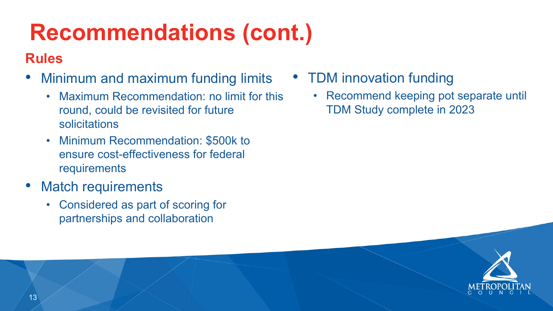

## • TDM innovation funding

# **Recommendations (cont.)**

## **Rules**

- Minimum and maximum funding limits
	- Maximum Recommendation: no limit for this round, could be revisited for future solicitations
	- Minimum Recommendation: \$500k to ensure cost-effectiveness for federal requirements
- Match requirements
	- Considered as part of scoring for partnerships and collaboration

• Recommend keeping pot separate until TDM Study complete in 2023



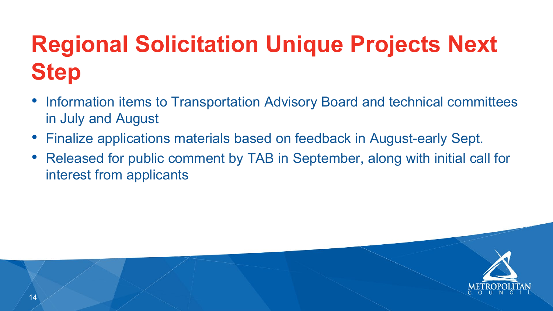



- Information items to Transportation Advisory Board and technical committees in July and August
- Finalize applications materials based on feedback in August-early Sept. • Released for public comment by TAB in September, along with initial call for
- interest from applicants

# **Regional Solicitation Unique Projects Next Step**